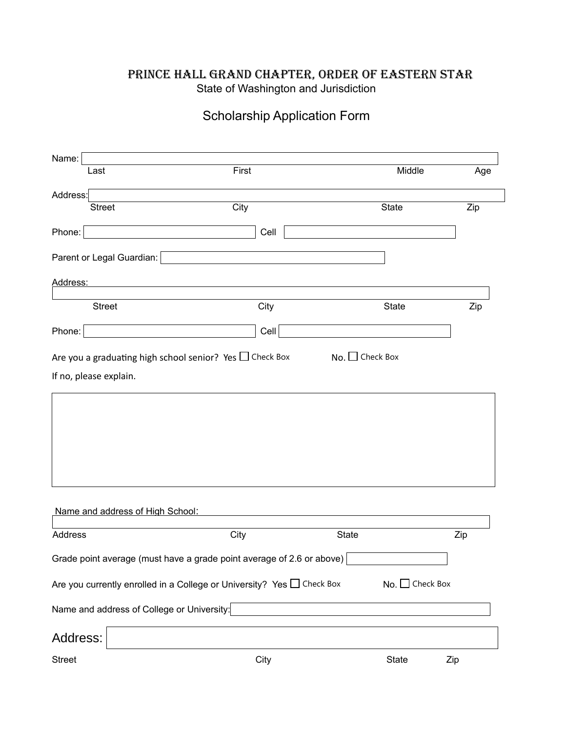## Prince hall grand chapter, order of eastern star State of Washington and Jurisdiction

## Scholarship Application Form

| Name:                                                                 |                                                                        |       |                     |     |  |
|-----------------------------------------------------------------------|------------------------------------------------------------------------|-------|---------------------|-----|--|
| Last                                                                  | First                                                                  |       | Middle              | Age |  |
| Address:                                                              |                                                                        |       |                     |     |  |
|                                                                       | City<br><b>Street</b>                                                  |       | State               | Zip |  |
| Phone:                                                                |                                                                        | Cell  |                     |     |  |
|                                                                       | Parent or Legal Guardian:                                              |       |                     |     |  |
| Address:                                                              |                                                                        |       |                     |     |  |
|                                                                       | <b>Street</b>                                                          | City  | <b>State</b>        | Zip |  |
| Phone:                                                                |                                                                        | Cell  |                     |     |  |
| If no, please explain.                                                |                                                                        |       |                     |     |  |
|                                                                       | Name and address of High School:                                       |       |                     |     |  |
| Address                                                               | City                                                                   | State |                     | Zip |  |
| Grade point average (must have a grade point average of 2.6 or above) |                                                                        |       |                     |     |  |
|                                                                       | Are you currently enrolled in a College or University? Yes □ Check Box |       | No. Check Box       |     |  |
|                                                                       | Name and address of College or University:                             |       |                     |     |  |
| Address:                                                              |                                                                        |       |                     |     |  |
| <b>Street</b>                                                         |                                                                        | City  | <b>State</b><br>Zip |     |  |